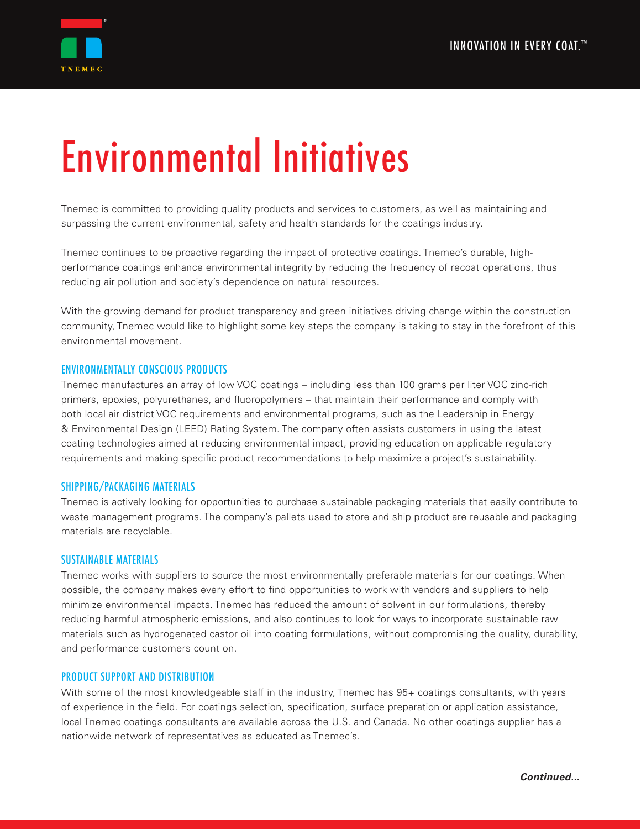

# Environmental Initiatives

Tnemec is committed to providing quality products and services to customers, as well as maintaining and surpassing the current environmental, safety and health standards for the coatings industry.

Tnemec continues to be proactive regarding the impact of protective coatings. Tnemec's durable, highperformance coatings enhance environmental integrity by reducing the frequency of recoat operations, thus reducing air pollution and society's dependence on natural resources.

With the growing demand for product transparency and green initiatives driving change within the construction community, Tnemec would like to highlight some key steps the company is taking to stay in the forefront of this environmental movement.

# ENVIRONMENTALLY CONSCIOUS PRODUCTS

Tnemec manufactures an array of low VOC coatings – including less than 100 grams per liter VOC zinc-rich primers, epoxies, polyurethanes, and fluoropolymers – that maintain their performance and comply with both local air district VOC requirements and environmental programs, such as the Leadership in Energy & Environmental Design (LEED) Rating System. The company often assists customers in using the latest coating technologies aimed at reducing environmental impact, providing education on applicable regulatory requirements and making specific product recommendations to help maximize a project's sustainability.

#### SHIPPING/PACKAGING MATERIALS

Tnemec is actively looking for opportunities to purchase sustainable packaging materials that easily contribute to waste management programs. The company's pallets used to store and ship product are reusable and packaging materials are recyclable.

#### SUSTAINABLE MATERIALS

Tnemec works with suppliers to source the most environmentally preferable materials for our coatings. When possible, the company makes every effort to find opportunities to work with vendors and suppliers to help minimize environmental impacts. Tnemec has reduced the amount of solvent in our formulations, thereby reducing harmful atmospheric emissions, and also continues to look for ways to incorporate sustainable raw materials such as hydrogenated castor oil into coating formulations, without compromising the quality, durability, and performance customers count on.

#### PRODUCT SUPPORT AND DISTRIBUTION

With some of the most knowledgeable staff in the industry, Tnemec has  $95+$  coatings consultants, with years of experience in the field. For coatings selection, specification, surface preparation or application assistance, local Tnemec coatings consultants are available across the U.S. and Canada. No other coatings supplier has a nationwide network of representatives as educated as Tnemec's.